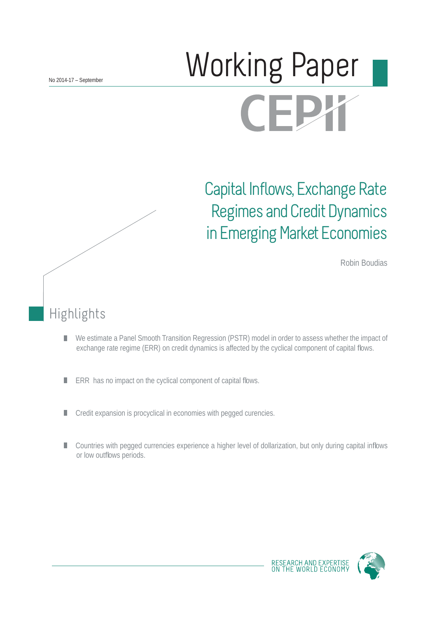# Working Paper **CEPX**

# Capital Inflows, Exchange Rate Regimes and Credit Dynamics in Emerging Market Economies

Robin Boudias

# Highlights

- We estimate a Panel Smooth Transition Regression (PSTR) model in order to assess whether the impact of П exchange rate regime (ERR) on credit dynamics is affected by the cyclical component of capital flows.
- ERR has no impact on the cyclical component of capital flows. П
- Credit expansion is procyclical in economies with pegged curencies.
- Countries with pegged currencies experience a higher level of dollarization, but only during capital inflows or low outflows periods.

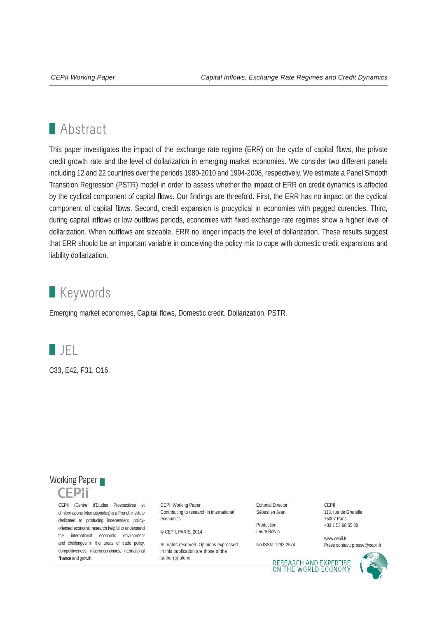# **Abstract**

This paper investigates the impact of the exchange rate regime (ERR) on the cycle of capital flows, the private credit growth rate and the level of dollarization in emerging market economies. We consider two different panels including 12 and 22 countries over the periods 1980-2010 and 1994-2008, respectively. We estimate a Panel Smooth Transition Regression (PSTR) model in order to assess whether the impact of ERR on credit dynamics is affected by the cyclical component of capital flows. Our findings are threefold. First, the ERR has no impact on the cyclical component of capital flows. Second, credit expansion is procyclical in economies with pegged curencies. Third, during capital inflows or low outflows periods, economies with fixed exchange rate regimes show a higher level of dollarization. When outflows are sizeable, ERR no longer impacts the level of dollarization. These results suggest that ERR should be an important variable in conceiving the policy mix to cope with domestic credit expansions and liability dollarization.

# **Keywords**

Emerging market economies, Capital flows, Domestic credit, Dollarization, PSTR.



C33, E42, F31, O16.

# Working Paper



CEPII (Centre d'Etudes Prospectives et d'Informations Internationales) is a French institute dedicated to producing independent, policyoriented economic research helpful to understand the international economic environment and challenges in the areas of trade policy, competitiveness, macroeconomics, international finance and growth.

CEPII Working Paper Contributing to research in international economics

© CEPII, PARIS, 2014

All rights reserved. Opinions expressed. in this publication are those of the author(s) alone.

Editorial Director: Sébastien Jean

Production: Laure Boivin

No ISSN: 1293-2574

**CEPII** 113, rue de Grenelle 75007 Paris +33 1 53 68 55 00

www.cepii.fr Press contact: presse@cepii.fr

RESEARCH AND EXPERTISE<br>ON THE WORLD ECONOMY

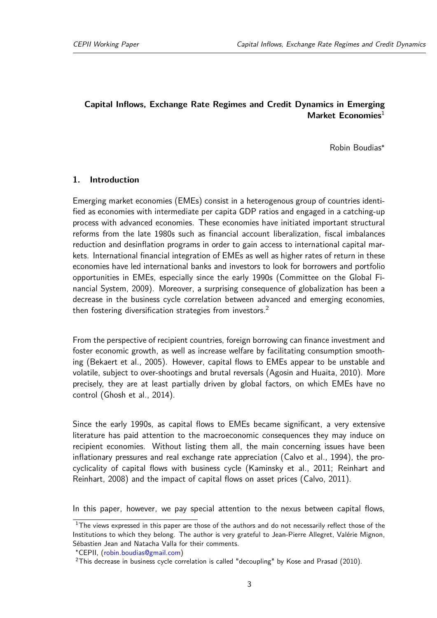# **Capital Inflows, Exchange Rate Regimes and Credit Dynamics in Emerging Market Economies**[1](#page-2-0)

Robin Boudias[∗](#page-2-1)

#### **1. Introduction**

Emerging market economies (EMEs) consist in a heterogenous group of countries identified as economies with intermediate per capita GDP ratios and engaged in a catching-up process with advanced economies. These economies have initiated important structural reforms from the late 1980s such as financial account liberalization, fiscal imbalances reduction and desinflation programs in order to gain access to international capital markets. International financial integration of EMEs as well as higher rates of return in these economies have led international banks and investors to look for borrowers and portfolio opportunities in EMEs, especially since the early 1990s (Committee on the Global Financial System, 2009). Moreover, a surprising consequence of globalization has been a decrease in the business cycle correlation between advanced and emerging economies, then fostering diversification strategies from investors.<sup>[2](#page-2-2)</sup>

From the perspective of recipient countries, foreign borrowing can finance investment and foster economic growth, as well as increase welfare by facilitating consumption smoothing (Bekaert et al., 2005). However, capital flows to EMEs appear to be unstable and volatile, subject to over-shootings and brutal reversals (Agosin and Huaita, 2010). More precisely, they are at least partially driven by global factors, on which EMEs have no control (Ghosh et al., 2014).

Since the early 1990s, as capital flows to EMEs became significant, a very extensive literature has paid attention to the macroeconomic consequences they may induce on recipient economies. Without listing them all, the main concerning issues have been inflationary pressures and real exchange rate appreciation (Calvo et al., 1994), the procyclicality of capital flows with business cycle (Kaminsky et al., 2011; Reinhart and Reinhart, 2008) and the impact of capital flows on asset prices (Calvo, 2011).

In this paper, however, we pay special attention to the nexus between capital flows,

<span id="page-2-0"></span> $1$ The views expressed in this paper are those of the authors and do not necessarily reflect those of the Institutions to which they belong. The author is very grateful to Jean-Pierre Allegret, Valérie Mignon, Sébastien Jean and Natacha Valla for their comments.

<span id="page-2-1"></span><sup>∗</sup>CEPII, [\(robin.boudias@gmail.com\)](mailto:robin.boudias@gmail.com)

<span id="page-2-2"></span><sup>&</sup>lt;sup>2</sup>This decrease in business cycle correlation is called "decoupling" by Kose and Prasad (2010).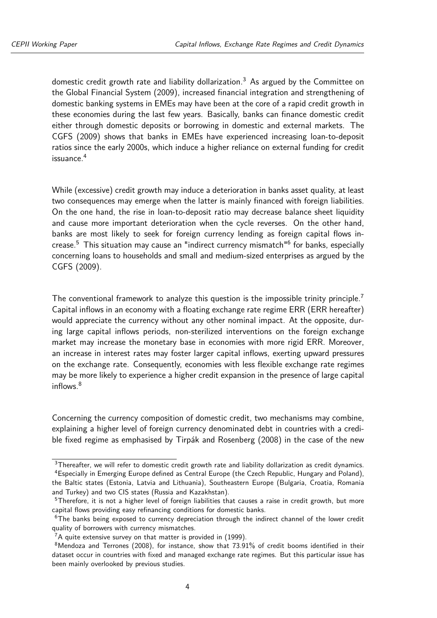domestic credit growth rate and liability dollarization.<sup>[3](#page-3-0)</sup> As argued by the Committee on the Global Financial System (2009), increased financial integration and strengthening of domestic banking systems in EMEs may have been at the core of a rapid credit growth in these economies during the last few years. Basically, banks can finance domestic credit either through domestic deposits or borrowing in domestic and external markets. The CGFS (2009) shows that banks in EMEs have experienced increasing loan-to-deposit ratios since the early 2000s, which induce a higher reliance on external funding for credit issuance.[4](#page-3-1)

While (excessive) credit growth may induce a deterioration in banks asset quality, at least two consequences may emerge when the latter is mainly financed with foreign liabilities. On the one hand, the rise in loan-to-deposit ratio may decrease balance sheet liquidity and cause more important deterioration when the cycle reverses. On the other hand, banks are most likely to seek for foreign currency lending as foreign capital flows in-crease.<sup>[5](#page-3-2)</sup> This situation may cause an "indirect currency mismatch"<sup>[6](#page-3-3)</sup> for banks, especially concerning loans to households and small and medium-sized enterprises as argued by the CGFS (2009).

The conventional framework to analyze this question is the impossible trinity principle.<sup>[7](#page-3-4)</sup> Capital inflows in an economy with a floating exchange rate regime ERR (ERR hereafter) would appreciate the currency without any other nominal impact. At the opposite, during large capital inflows periods, non-sterilized interventions on the foreign exchange market may increase the monetary base in economies with more rigid ERR. Moreover, an increase in interest rates may foster larger capital inflows, exerting upward pressures on the exchange rate. Consequently, economies with less flexible exchange rate regimes may be more likely to experience a higher credit expansion in the presence of large capital inflows.<sup>[8](#page-3-5)</sup>

Concerning the currency composition of domestic credit, two mechanisms may combine, explaining a higher level of foreign currency denominated debt in countries with a credible fixed regime as emphasised by Tirpák and Rosenberg (2008) in the case of the new

<span id="page-3-1"></span><span id="page-3-0"></span><sup>&</sup>lt;sup>3</sup>Thereafter, we will refer to domestic credit growth rate and liability dollarization as credit dynamics. <sup>4</sup>Especially in Emerging Europe defined as Central Europe (the Czech Republic, Hungary and Poland), the Baltic states (Estonia, Latvia and Lithuania), Southeastern Europe (Bulgaria, Croatia, Romania and Turkey) and two CIS states (Russia and Kazakhstan).

<span id="page-3-2"></span><sup>&</sup>lt;sup>5</sup>Therefore, it is not a higher level of foreign liabilities that causes a raise in credit growth, but more capital flows providing easy refinancing conditions for domestic banks.

<span id="page-3-3"></span><sup>&</sup>lt;sup>6</sup>The banks being exposed to currency depreciation through the indirect channel of the lower credit quality of borrowers with currency mismatches.

<span id="page-3-5"></span><span id="page-3-4"></span> ${}^{7}$ A quite extensive survey on that matter is provided in (1999).

<sup>8</sup>Mendoza and Terrones (2008), for instance, show that 73.91% of credit booms identified in their dataset occur in countries with fixed and managed exchange rate regimes. But this particular issue has been mainly overlooked by previous studies.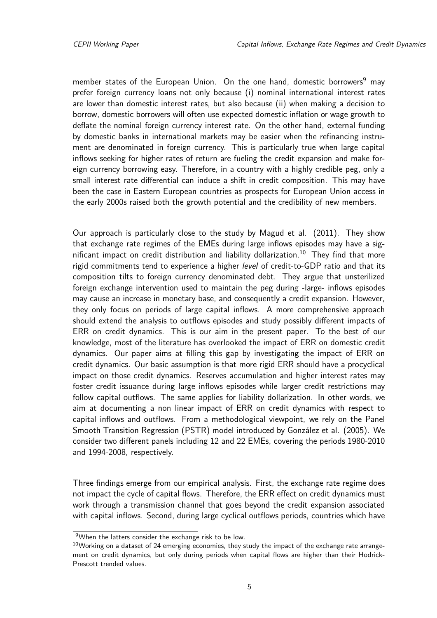member states of the European Union. On the one hand, domestic borrowers<sup>[9](#page-4-0)</sup> may prefer foreign currency loans not only because (i) nominal international interest rates are lower than domestic interest rates, but also because (ii) when making a decision to borrow, domestic borrowers will often use expected domestic inflation or wage growth to deflate the nominal foreign currency interest rate. On the other hand, external funding by domestic banks in international markets may be easier when the refinancing instrument are denominated in foreign currency. This is particularly true when large capital inflows seeking for higher rates of return are fueling the credit expansion and make foreign currency borrowing easy. Therefore, in a country with a highly credible peg, only a small interest rate differential can induce a shift in credit composition. This may have been the case in Eastern European countries as prospects for European Union access in the early 2000s raised both the growth potential and the credibility of new members.

Our approach is particularly close to the study by Magud et al. (2011). They show that exchange rate regimes of the EMEs during large inflows episodes may have a sig-nificant impact on credit distribution and liability dollarization.<sup>[10](#page-4-1)</sup> They find that more rigid commitments tend to experience a higher level of credit-to-GDP ratio and that its composition tilts to foreign currency denominated debt. They argue that unsterilized foreign exchange intervention used to maintain the peg during -large- inflows episodes may cause an increase in monetary base, and consequently a credit expansion. However, they only focus on periods of large capital inflows. A more comprehensive approach should extend the analysis to outflows episodes and study possibly different impacts of ERR on credit dynamics. This is our aim in the present paper. To the best of our knowledge, most of the literature has overlooked the impact of ERR on domestic credit dynamics. Our paper aims at filling this gap by investigating the impact of ERR on credit dynamics. Our basic assumption is that more rigid ERR should have a procyclical impact on those credit dynamics. Reserves accumulation and higher interest rates may foster credit issuance during large inflows episodes while larger credit restrictions may follow capital outflows. The same applies for liability dollarization. In other words, we aim at documenting a non linear impact of ERR on credit dynamics with respect to capital inflows and outflows. From a methodological viewpoint, we rely on the Panel Smooth Transition Regression (PSTR) model introduced by González et al. (2005). We consider two different panels including 12 and 22 EMEs, covering the periods 1980-2010 and 1994-2008, respectively.

Three findings emerge from our empirical analysis. First, the exchange rate regime does not impact the cycle of capital flows. Therefore, the ERR effect on credit dynamics must work through a transmission channel that goes beyond the credit expansion associated with capital inflows. Second, during large cyclical outflows periods, countries which have

<span id="page-4-0"></span> $9$ When the latters consider the exchange risk to be low.

<span id="page-4-1"></span> $10$ Working on a dataset of 24 emerging economies, they study the impact of the exchange rate arrangement on credit dynamics, but only during periods when capital flows are higher than their Hodrick-Prescott trended values.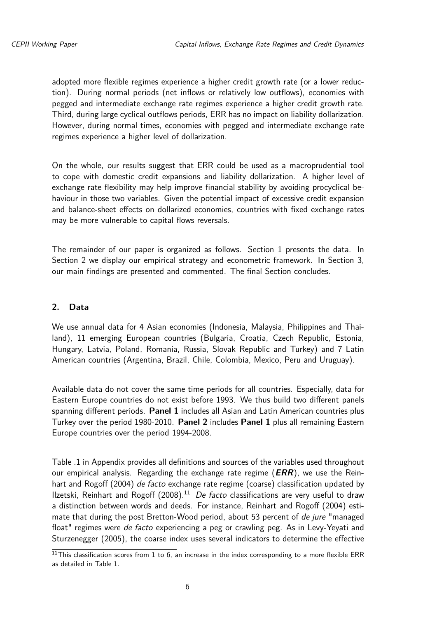adopted more flexible regimes experience a higher credit growth rate (or a lower reduction). During normal periods (net inflows or relatively low outflows), economies with pegged and intermediate exchange rate regimes experience a higher credit growth rate. Third, during large cyclical outflows periods, ERR has no impact on liability dollarization. However, during normal times, economies with pegged and intermediate exchange rate regimes experience a higher level of dollarization.

On the whole, our results suggest that ERR could be used as a macroprudential tool to cope with domestic credit expansions and liability dollarization. A higher level of exchange rate flexibility may help improve financial stability by avoiding procyclical behaviour in those two variables. Given the potential impact of excessive credit expansion and balance-sheet effects on dollarized economies, countries with fixed exchange rates may be more vulnerable to capital flows reversals.

The remainder of our paper is organized as follows. Section 1 presents the data. In Section 2 we display our empirical strategy and econometric framework. In Section 3, our main findings are presented and commented. The final Section concludes.

### **2. Data**

We use annual data for 4 Asian economies (Indonesia, Malaysia, Philippines and Thailand), 11 emerging European countries (Bulgaria, Croatia, Czech Republic, Estonia, Hungary, Latvia, Poland, Romania, Russia, Slovak Republic and Turkey) and 7 Latin American countries (Argentina, Brazil, Chile, Colombia, Mexico, Peru and Uruguay).

Available data do not cover the same time periods for all countries. Especially, data for Eastern Europe countries do not exist before 1993. We thus build two different panels spanning different periods. **Panel 1** includes all Asian and Latin American countries plus Turkey over the period 1980-2010. **Panel 2** includes **Panel 1** plus all remaining Eastern Europe countries over the period 1994-2008.

Table [.1](#page-24-0) in Appendix provides all definitions and sources of the variables used throughout our empirical analysis. Regarding the exchange rate regime (**ERR**), we use the Reinhart and Rogoff (2004) de facto exchange rate regime (coarse) classification updated by Ilzetski, Reinhart and Rogoff  $(2008).<sup>11</sup>$  $(2008).<sup>11</sup>$  $(2008).<sup>11</sup>$  De facto classifications are very useful to draw a distinction between words and deeds. For instance, Reinhart and Rogoff (2004) estimate that during the post Bretton-Wood period, about 53 percent of de jure "managed float" regimes were de facto experiencing a peg or crawling peg. As in Levy-Yeyati and Sturzenegger (2005), the coarse index uses several indicators to determine the effective

<span id="page-5-0"></span> $11$ This classification scores from 1 to 6, an increase in the index corresponding to a more flexible ERR as detailed in Table [1.](#page-6-0)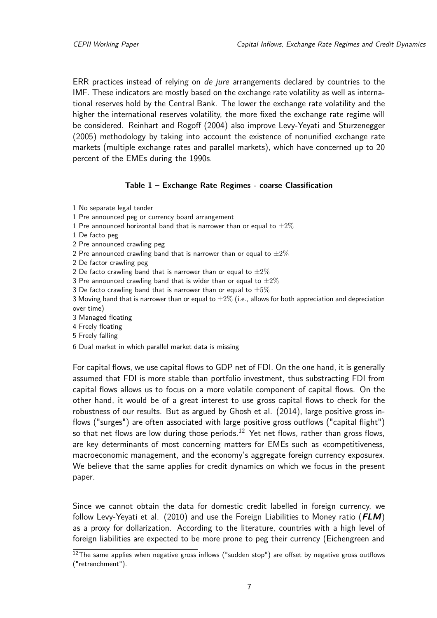ERR practices instead of relying on *de jure* arrangements declared by countries to the IMF. These indicators are mostly based on the exchange rate volatility as well as international reserves hold by the Central Bank. The lower the exchange rate volatility and the higher the international reserves volatility, the more fixed the exchange rate regime will be considered. Reinhart and Rogoff (2004) also improve Levy-Yeyati and Sturzenegger (2005) methodology by taking into account the existence of nonunified exchange rate markets (multiple exchange rates and parallel markets), which have concerned up to 20 percent of the EMEs during the 1990s.

#### **Table 1 – Exchange Rate Regimes - coarse Classification**

- <span id="page-6-0"></span>1 No separate legal tender
- 1 Pre announced peg or currency board arrangement
- 1 Pre announced horizontal band that is narrower than or equal to  $\pm 2\%$
- 1 De facto peg
- 2 Pre announced crawling peg
- 2 Pre announced crawling band that is narrower than or equal to  $\pm 2\%$
- 2 De factor crawling peg
- 2 De facto crawling band that is narrower than or equal to  $\pm 2\%$
- 3 Pre announced crawling band that is wider than or equal to  $\pm 2\%$
- 3 De facto crawling band that is narrower than or equal to  $\pm 5\%$
- 3 Moving band that is narrower than or equal to  $\pm 2\%$  (i.e., allows for both appreciation and depreciation over time)
- 3 Managed floating
- 4 Freely floating
- 5 Freely falling
- 6 Dual market in which parallel market data is missing

For capital flows, we use capital flows to GDP net of FDI. On the one hand, it is generally assumed that FDI is more stable than portfolio investment, thus substracting FDI from capital flows allows us to focus on a more volatile component of capital flows. On the other hand, it would be of a great interest to use gross capital flows to check for the robustness of our results. But as argued by Ghosh et al. (2014), large positive gross inflows ("surges") are often associated with large positive gross outflows ("capital flight") so that net flows are low during those periods.<sup>[12](#page-6-1)</sup> Yet net flows, rather than gross flows, are key determinants of most concerning matters for EMEs such as «competitiveness, macroeconomic management, and the economy's aggregate foreign currency exposure». We believe that the same applies for credit dynamics on which we focus in the present paper.

Since we cannot obtain the data for domestic credit labelled in foreign currency, we follow Levy-Yeyati et al. (2010) and use the Foreign Liabilities to Money ratio (**FLM**) as a proxy for dollarization. According to the literature, countries with a high level of foreign liabilities are expected to be more prone to peg their currency (Eichengreen and

<span id="page-6-1"></span> $12$ The same applies when negative gross inflows ("sudden stop") are offset by negative gross outflows ("retrenchment").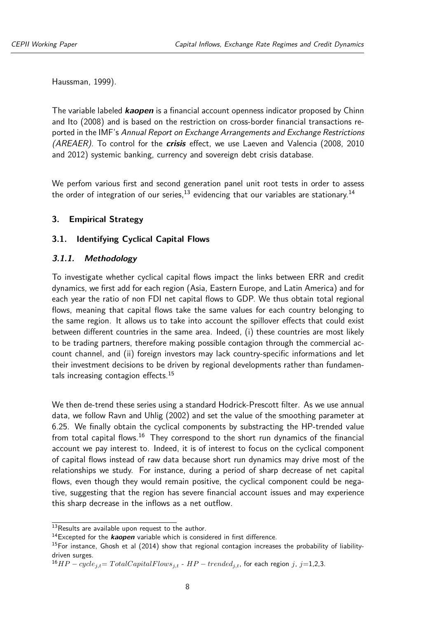Haussman, 1999).

The variable labeled **kaopen** is a financial account openness indicator proposed by Chinn and Ito (2008) and is based on the restriction on cross-border financial transactions reported in the IMF's Annual Report on Exchange Arrangements and Exchange Restrictions (AREAER). To control for the **crisis** effect, we use Laeven and Valencia (2008, 2010 and 2012) systemic banking, currency and sovereign debt crisis database.

We perfom various first and second generation panel unit root tests in order to assess the order of integration of our series,<sup>[13](#page-7-0)</sup> evidencing that our variables are stationary.<sup>[14](#page-7-1)</sup>

## **3. Empirical Strategy**

## **3.1. Identifying Cyclical Capital Flows**

## **3.1.1. Methodology**

To investigate whether cyclical capital flows impact the links between ERR and credit dynamics, we first add for each region (Asia, Eastern Europe, and Latin America) and for each year the ratio of non FDI net capital flows to GDP. We thus obtain total regional flows, meaning that capital flows take the same values for each country belonging to the same region. It allows us to take into account the spillover effects that could exist between different countries in the same area. Indeed, (i) these countries are most likely to be trading partners, therefore making possible contagion through the commercial account channel, and (ii) foreign investors may lack country-specific informations and let their investment decisions to be driven by regional developments rather than fundamen-tals increasing contagion effects.<sup>[15](#page-7-2)</sup>

We then de-trend these series using a standard Hodrick-Prescott filter. As we use annual data, we follow Ravn and Uhlig (2002) and set the value of the smoothing parameter at 6.25. We finally obtain the cyclical components by substracting the HP-trended value from total capital flows.<sup>[16](#page-7-3)</sup> They correspond to the short run dynamics of the financial account we pay interest to. Indeed, it is of interest to focus on the cyclical component of capital flows instead of raw data because short run dynamics may drive most of the relationships we study. For instance, during a period of sharp decrease of net capital flows, even though they would remain positive, the cyclical component could be negative, suggesting that the region has severe financial account issues and may experience this sharp decrease in the inflows as a net outflow.

<span id="page-7-0"></span><sup>13</sup> Results are available upon request to the author.

<span id="page-7-1"></span><sup>&</sup>lt;sup>14</sup>Excepted for the **kaopen** variable which is considered in first difference.

<span id="page-7-2"></span> $15$  For instance, Ghosh et al (2014) show that regional contagion increases the probability of liabilitydriven surges.

<span id="page-7-3"></span> $^{16}HP - cycle_{i,t} = TotalCapitalFlows_{i,t} - HP - trended_{i,t}$ , for each region *j*, *j*=1,2,3.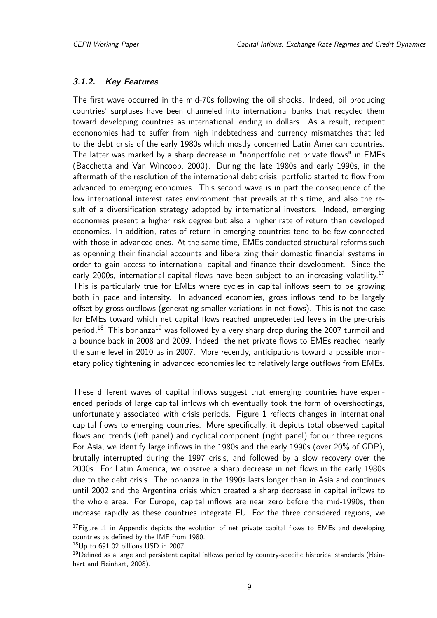#### **3.1.2. Key Features**

The first wave occurred in the mid-70s following the oil shocks. Indeed, oil producing countries' surpluses have been channeled into international banks that recycled them toward developing countries as international lending in dollars. As a result, recipient econonomies had to suffer from high indebtedness and currency mismatches that led to the debt crisis of the early 1980s which mostly concerned Latin American countries. The latter was marked by a sharp decrease in "nonportfolio net private flows" in EMEs (Bacchetta and Van Wincoop, 2000). During the late 1980s and early 1990s, in the aftermath of the resolution of the international debt crisis, portfolio started to flow from advanced to emerging economies. This second wave is in part the consequence of the low international interest rates environment that prevails at this time, and also the result of a diversification strategy adopted by international investors. Indeed, emerging economies present a higher risk degree but also a higher rate of return than developed economies. In addition, rates of return in emerging countries tend to be few connected with those in advanced ones. At the same time, EMEs conducted structural reforms such as openning their financial accounts and liberalizing their domestic financial systems in order to gain access to international capital and finance their development. Since the early 2000s, international capital flows have been subject to an increasing volatility.<sup>[17](#page-8-0)</sup> This is particularly true for EMEs where cycles in capital inflows seem to be growing both in pace and intensity. In advanced economies, gross inflows tend to be largely offset by gross outflows (generating smaller variations in net flows). This is not the case for EMEs toward which net capital flows reached unprecedented levels in the pre-crisis period.<sup>[18](#page-8-1)</sup> This bonanza<sup>[19](#page-8-2)</sup> was followed by a very sharp drop during the 2007 turmoil and a bounce back in 2008 and 2009. Indeed, the net private flows to EMEs reached nearly the same level in 2010 as in 2007. More recently, anticipations toward a possible monetary policy tightening in advanced economies led to relatively large outflows from EMEs.

These different waves of capital inflows suggest that emerging countries have experienced periods of large capital inflows which eventually took the form of overshootings, unfortunately associated with crisis periods. Figure [1](#page-10-0) reflects changes in international capital flows to emerging countries. More specifically, it depicts total observed capital flows and trends (left panel) and cyclical component (right panel) for our three regions. For Asia, we identify large inflows in the 1980s and the early 1990s (over 20% of GDP), brutally interrupted during the 1997 crisis, and followed by a slow recovery over the 2000s. For Latin America, we observe a sharp decrease in net flows in the early 1980s due to the debt crisis. The bonanza in the 1990s lasts longer than in Asia and continues until 2002 and the Argentina crisis which created a sharp decrease in capital inflows to the whole area. For Europe, capital inflows are near zero before the mid-1990s, then increase rapidly as these countries integrate EU. For the three considered regions, we

<span id="page-8-1"></span> $18$ Up to 691.02 billions USD in 2007.

<span id="page-8-0"></span> $17$ Figure [.1](#page-26-0) in Appendix depicts the evolution of net private capital flows to EMEs and developing countries as defined by the IMF from 1980.

<span id="page-8-2"></span> $19$ Defined as a large and persistent capital inflows period by country-specific historical standards (Reinhart and Reinhart, 2008).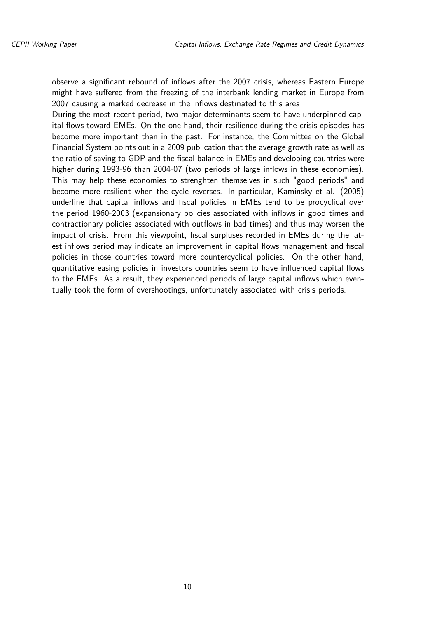observe a significant rebound of inflows after the 2007 crisis, whereas Eastern Europe might have suffered from the freezing of the interbank lending market in Europe from 2007 causing a marked decrease in the inflows destinated to this area.

During the most recent period, two major determinants seem to have underpinned capital flows toward EMEs. On the one hand, their resilience during the crisis episodes has become more important than in the past. For instance, the Committee on the Global Financial System points out in a 2009 publication that the average growth rate as well as the ratio of saving to GDP and the fiscal balance in EMEs and developing countries were higher during 1993-96 than 2004-07 (two periods of large inflows in these economies). This may help these economies to strenghten themselves in such "good periods" and become more resilient when the cycle reverses. In particular, Kaminsky et al. (2005) underline that capital inflows and fiscal policies in EMEs tend to be procyclical over the period 1960-2003 (expansionary policies associated with inflows in good times and contractionary policies associated with outflows in bad times) and thus may worsen the impact of crisis. From this viewpoint, fiscal surpluses recorded in EMEs during the latest inflows period may indicate an improvement in capital flows management and fiscal policies in those countries toward more countercyclical policies. On the other hand, quantitative easing policies in investors countries seem to have influenced capital flows to the EMEs. As a result, they experienced periods of large capital inflows which eventually took the form of overshootings, unfortunately associated with crisis periods.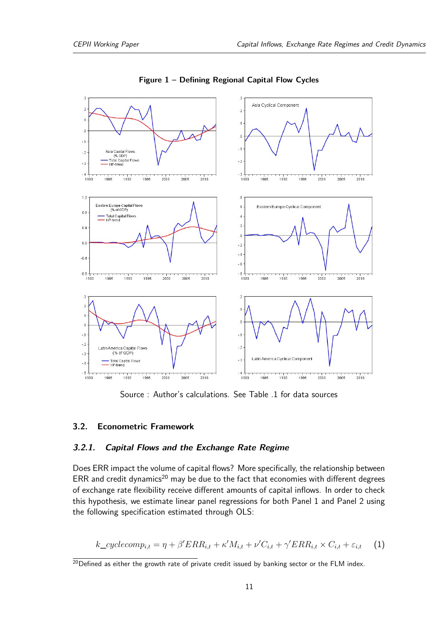<span id="page-10-0"></span>

#### **Figure 1 – Defining Regional Capital Flow Cycles**

Source : Author's calculations. See Table [.1](#page-24-0) for data sources

#### **3.2. Econometric Framework**

#### **3.2.1. Capital Flows and the Exchange Rate Regime**

Does ERR impact the volume of capital flows? More specifically, the relationship between  $ERR$  and credit dynamics<sup>[20](#page-10-1)</sup> may be due to the fact that economies with different degrees of exchange rate flexibility receive different amounts of capital inflows. In order to check this hypothesis, we estimate linear panel regressions for both Panel 1 and Panel 2 using the following specification estimated through OLS:

$$
k\_cyclecomp_{i,t} = \eta + \beta'ERR_{i,t} + \kappa' M_{i,t} + \nu' C_{i,t} + \gamma'ERR_{i,t} \times C_{i,t} + \varepsilon_{i,t} \tag{1}
$$

<span id="page-10-1"></span> $^{20}$ Defined as either the growth rate of private credit issued by banking sector or the FLM index.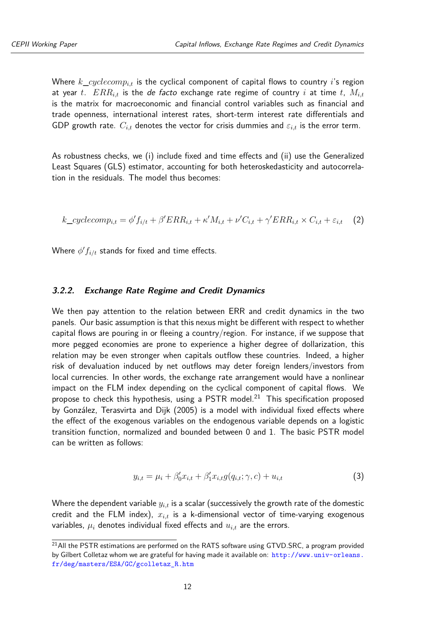Where  $k\_cyclecomp_{i,t}$  is the cyclical component of capital flows to country *i*'s region at year *t*.  $ERR_{i,t}$  is the de facto exchange rate regime of country *i* at time *t*,  $M_{i,t}$ is the matrix for macroeconomic and financial control variables such as financial and trade openness, international interest rates, short-term interest rate differentials and GDP growth rate.  $C_{i,t}$  denotes the vector for crisis dummies and  $\varepsilon_{i,t}$  is the error term.

As robustness checks, we (i) include fixed and time effects and (ii) use the Generalized Least Squares (GLS) estimator, accounting for both heteroskedasticity and autocorrelation in the residuals. The model thus becomes:

$$
k\_cyclecomp_{i,t} = \phi' f_{i/t} + \beta' ERR_{i,t} + \kappa' M_{i,t} + \nu' C_{i,t} + \gamma' ERR_{i,t} \times C_{i,t} + \varepsilon_{i,t} \quad (2)
$$

Where  $\phi' f_{i/t}$  stands for fixed and time effects.

#### **3.2.2. Exchange Rate Regime and Credit Dynamics**

We then pay attention to the relation between ERR and credit dynamics in the two panels. Our basic assumption is that this nexus might be different with respect to whether capital flows are pouring in or fleeing a country/region. For instance, if we suppose that more pegged economies are prone to experience a higher degree of dollarization, this relation may be even stronger when capitals outflow these countries. Indeed, a higher risk of devaluation induced by net outflows may deter foreign lenders/investors from local currencies. In other words, the exchange rate arrangement would have a nonlinear impact on the FLM index depending on the cyclical component of capital flows. We propose to check this hypothesis, using a PSTR model.<sup>[21](#page-11-0)</sup> This specification proposed by González, Terasvirta and Dijk (2005) is a model with individual fixed effects where the effect of the exogenous variables on the endogenous variable depends on a logistic transition function, normalized and bounded between 0 and 1. The basic PSTR model can be written as follows:

$$
y_{i,t} = \mu_i + \beta'_0 x_{i,t} + \beta'_1 x_{i,t} g(q_{i,t}; \gamma, c) + u_{i,t}
$$
\n(3)

Where the dependent variable  $y_{i,t}$  is a scalar (successively the growth rate of the domestic credit and the FLM index), *xi,t* is a k-dimensional vector of time-varying exogenous variables,  $\mu_i$  denotes individual fixed effects and  $u_{i,t}$  are the errors.

<span id="page-11-0"></span> $21$ All the PSTR estimations are performed on the RATS software using GTVD.SRC, a program provided by Gilbert Colletaz whom we are grateful for having made it available on: [http://www.univ-orleans.](http://www.univ-orleans.fr/deg/masters/ESA/GC/gcolletaz_R.htm) [fr/deg/masters/ESA/GC/gcolletaz\\_R.htm](http://www.univ-orleans.fr/deg/masters/ESA/GC/gcolletaz_R.htm)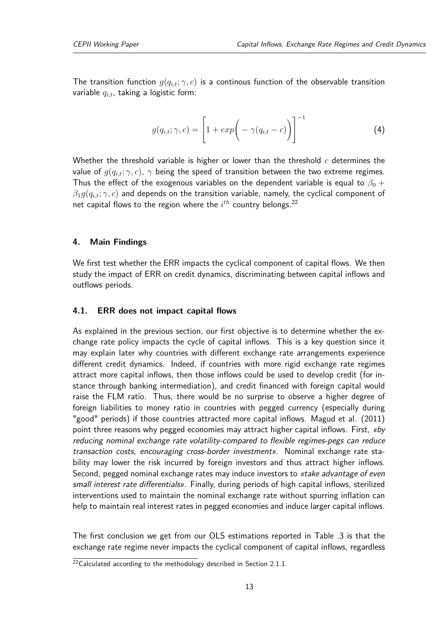The transition function  $g(q_{i,t}; \gamma, c)$  is a continous function of the observable transition variable  $q_{i,t}$ , taking a logistic form:

$$
g(q_{i,t}; \gamma, c) = \left[1 + exp\bigg(-\gamma(q_{i,t} - c)\bigg)\right]^{-1}
$$
 (4)

Whether the threshold variable is higher or lower than the threshold *c* determines the value of  $g(q_{i,t}; \gamma, c)$ ,  $\gamma$  being the speed of transition between the two extreme regimes. Thus the effect of the exogenous variables on the dependent variable is equal to  $\beta_0$  +  $\beta_1 g(q_{i,t}; \gamma, c)$  and depends on the transition variable, namely, the cyclical component of net capital flows to the region where the *i th* country belongs.[22](#page-12-0)

## **4. Main Findings**

We first test whether the ERR impacts the cyclical component of capital flows. We then study the impact of ERR on credit dynamics, discriminating between capital inflows and outflows periods.

#### **4.1. ERR does not impact capital flows**

As explained in the previous section, our first objective is to determine whether the exchange rate policy impacts the cycle of capital inflows. This is a key question since it may explain later why countries with different exchange rate arrangements experience different credit dynamics. Indeed, if countries with more rigid exchange rate regimes attract more capital inflows, then those inflows could be used to develop credit (for instance through banking intermediation), and credit financed with foreign capital would raise the FLM ratio. Thus, there would be no surprise to observe a higher degree of foreign liabilities to money ratio in countries with pegged currency (especially during "good" periods) if those countries attracted more capital inflows. Magud et al. (2011) point three reasons why pegged economies may attract higher capital inflows. First, «by reducing nominal exchange rate volatility-compared to flexible regimes-pegs can reduce transaction costs, encouraging cross-border investment». Nominal exchange rate stability may lower the risk incurred by foreign investors and thus attract higher inflows. Second, pegged nominal exchange rates may induce investors to *«take advantage of even* small interest rate differentials». Finally, during periods of high capital inflows, sterilized interventions used to maintain the nominal exchange rate without spurring inflation can help to maintain real interest rates in pegged economies and induce larger capital inflows.

The first conclusion we get from our OLS estimations reported in Table [.3](#page-26-1) is that the exchange rate regime never impacts the cyclical component of capital inflows, regardless

<span id="page-12-0"></span> $^{22}$ Calculated according to the methodology described in Section 2.1.1.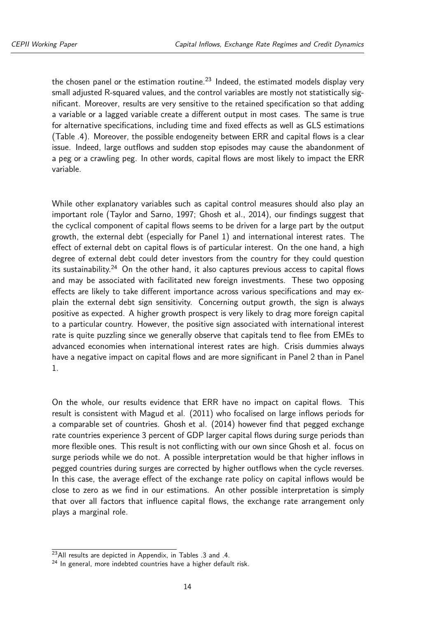the chosen panel or the estimation routine.<sup>[23](#page-13-0)</sup> Indeed, the estimated models display very small adjusted R-squared values, and the control variables are mostly not statistically significant. Moreover, results are very sensitive to the retained specification so that adding a variable or a lagged variable create a different output in most cases. The same is true for alternative specifications, including time and fixed effects as well as GLS estimations (Table [.4\)](#page-27-0). Moreover, the possible endogeneity between ERR and capital flows is a clear issue. Indeed, large outflows and sudden stop episodes may cause the abandonment of a peg or a crawling peg. In other words, capital flows are most likely to impact the ERR variable.

While other explanatory variables such as capital control measures should also play an important role (Taylor and Sarno, 1997; Ghosh et al., 2014), our findings suggest that the cyclical component of capital flows seems to be driven for a large part by the output growth, the external debt (especially for Panel 1) and international interest rates. The effect of external debt on capital flows is of particular interest. On the one hand, a high degree of external debt could deter investors from the country for they could question its sustainability.<sup>[24](#page-13-1)</sup> On the other hand, it also captures previous access to capital flows and may be associated with facilitated new foreign investments. These two opposing effects are likely to take different importance across various specifications and may explain the external debt sign sensitivity. Concerning output growth, the sign is always positive as expected. A higher growth prospect is very likely to drag more foreign capital to a particular country. However, the positive sign associated with international interest rate is quite puzzling since we generally observe that capitals tend to flee from EMEs to advanced economies when international interest rates are high. Crisis dummies always have a negative impact on capital flows and are more significant in Panel 2 than in Panel 1.

On the whole, our results evidence that ERR have no impact on capital flows. This result is consistent with Magud et al. (2011) who focalised on large inflows periods for a comparable set of countries. Ghosh et al. (2014) however find that pegged exchange rate countries experience 3 percent of GDP larger capital flows during surge periods than more flexible ones. This result is not conflicting with our own since Ghosh et al. focus on surge periods while we do not. A possible interpretation would be that higher inflows in pegged countries during surges are corrected by higher outflows when the cycle reverses. In this case, the average effect of the exchange rate policy on capital inflows would be close to zero as we find in our estimations. An other possible interpretation is simply that over all factors that influence capital flows, the exchange rate arrangement only plays a marginal role.

<span id="page-13-0"></span><sup>23</sup>All results are depicted in Appendix, in Tables [.3](#page-26-1) and [.4.](#page-27-0)

<span id="page-13-1"></span> $24$  In general, more indebted countries have a higher default risk.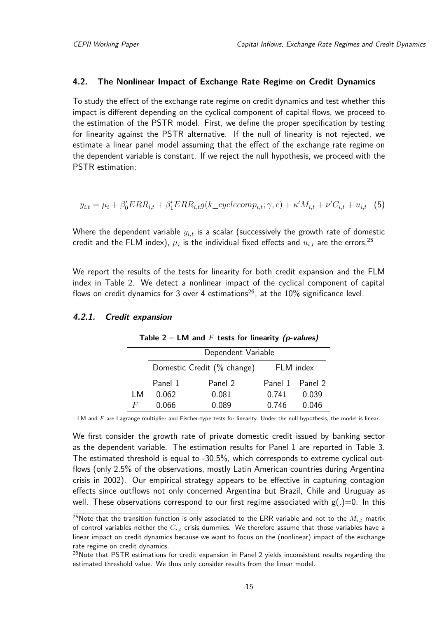#### **4.2. The Nonlinear Impact of Exchange Rate Regime on Credit Dynamics**

To study the effect of the exchange rate regime on credit dynamics and test whether this impact is different depending on the cyclical component of capital flows, we proceed to the estimation of the PSTR model. First, we define the proper specification by testing for linearity against the PSTR alternative. If the null of linearity is not rejected, we estimate a linear panel model assuming that the effect of the exchange rate regime on the dependent variable is constant. If we reject the null hypothesis, we proceed with the PSTR estimation:

$$
y_{i,t} = \mu_i + \beta'_0 ERR_{i,t} + \beta'_1 ERR_{i,t}g(k\_cyclecomp_{i,t}; \gamma, c) + \kappa'M_{i,t} + \nu'C_{i,t} + u_{i,t} \quad (5)
$$

Where the dependent variable  $y_{i,t}$  is a scalar (successively the growth rate of domestic credit and the FLM index),  $\mu_i$  is the individual fixed effects and  $u_{i,t}$  are the errors. $^{25}$  $^{25}$  $^{25}$ 

We report the results of the tests for linearity for both credit expansion and the FLM index in Table 2. We detect a nonlinear impact of the cyclical component of capital flows on credit dynamics for 3 over 4 estimations<sup>[26](#page-14-1)</sup>, at the  $10\%$  significance level.

#### <span id="page-14-2"></span>**4.2.1. Credit expansion**

|    |         | Dependent Variable         |           |                 |  |
|----|---------|----------------------------|-----------|-----------------|--|
|    |         | Domestic Credit (% change) | FLM index |                 |  |
|    | Panel 1 | Panel 2                    |           | Panel 1 Panel 2 |  |
| LM | 0.062   | 0.081                      | 0.741     | 0.039           |  |
| F  | 0.066   | 0.089                      | 0.746     | 0.046           |  |

**Table 2 – LM and**  $F$  **tests for linearity** (*p*-values)

LM and *F* are Lagrange multiplier and Fischer-type tests for linearity. Under the null hypothesis, the model is linear.

We first consider the growth rate of private domestic credit issued by banking sector as the dependent variable. The estimation results for Panel 1 are reported in Table [3.](#page-16-0) The estimated threshold is equal to -30.5%, which corresponds to extreme cyclical outflows (only 2.5% of the observations, mostly Latin American countries during Argentina crisis in 2002). Our empirical strategy appears to be effective in capturing contagion effects since outflows not only concerned Argentina but Brazil, Chile and Uruguay as well. These observations correspond to our first regime associated with  $g(.)=0$ . In this

<span id="page-14-0"></span> $^{25}$ Note that the transition function is only associated to the ERR variable and not to the  $M_{i,t}$  matrix of control variables neither the  $C_{i,t}$  crisis dummies. We therefore assume that those variables have a linear impact on credit dynamics because we want to focus on the (nonlinear) impact of the exchange rate regime on credit dynamics.

<span id="page-14-1"></span><sup>&</sup>lt;sup>26</sup>Note that PSTR estimations for credit expansion in Panel 2 yields inconsistent results regarding the estimated threshold value. We thus only consider results from the linear model.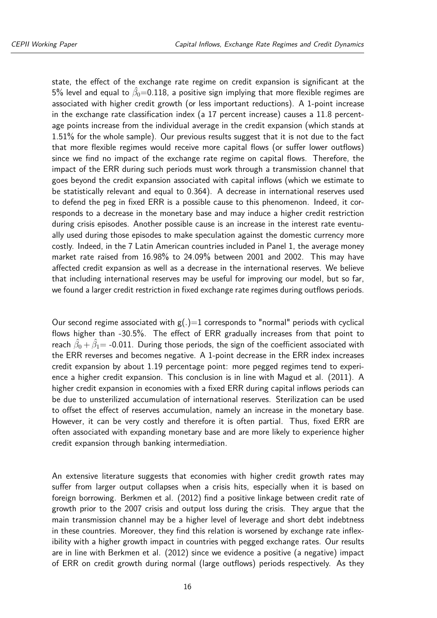state, the effect of the exchange rate regime on credit expansion is significant at the 5% level and equal to  $\hat{\beta_0}{=}0.118$ , a positive sign implying that more flexible regimes are associated with higher credit growth (or less important reductions). A 1-point increase in the exchange rate classification index (a 17 percent increase) causes a 11.8 percentage points increase from the individual average in the credit expansion (which stands at 1.51% for the whole sample). Our previous results suggest that it is not due to the fact that more flexible regimes would receive more capital flows (or suffer lower outflows) since we find no impact of the exchange rate regime on capital flows. Therefore, the impact of the ERR during such periods must work through a transmission channel that goes beyond the credit expansion associated with capital inflows (which we estimate to be statistically relevant and equal to 0.364). A decrease in international reserves used to defend the peg in fixed ERR is a possible cause to this phenomenon. Indeed, it corresponds to a decrease in the monetary base and may induce a higher credit restriction during crisis episodes. Another possible cause is an increase in the interest rate eventually used during those episodes to make speculation against the domestic currency more costly. Indeed, in the 7 Latin American countries included in Panel 1, the average money market rate raised from 16.98% to 24.09% between 2001 and 2002. This may have affected credit expansion as well as a decrease in the international reserves. We believe that including international reserves may be useful for improving our model, but so far, we found a larger credit restriction in fixed exchange rate regimes during outflows periods.

Our second regime associated with  $g(.)=1$  corresponds to "normal" periods with cyclical flows higher than -30.5%. The effect of ERR gradually increases from that point to reach  $\hat{\beta_0}+\hat{\beta_1}$ = -0.011. During those periods, the sign of the coefficient associated with the ERR reverses and becomes negative. A 1-point decrease in the ERR index increases credit expansion by about 1.19 percentage point: more pegged regimes tend to experience a higher credit expansion. This conclusion is in line with Magud et al. (2011). A higher credit expansion in economies with a fixed ERR during capital inflows periods can be due to unsterilized accumulation of international reserves. Sterilization can be used to offset the effect of reserves accumulation, namely an increase in the monetary base. However, it can be very costly and therefore it is often partial. Thus, fixed ERR are often associated with expanding monetary base and are more likely to experience higher credit expansion through banking intermediation.

An extensive literature suggests that economies with higher credit growth rates may suffer from larger output collapses when a crisis hits, especially when it is based on foreign borrowing. Berkmen et al. (2012) find a positive linkage between credit rate of growth prior to the 2007 crisis and output loss during the crisis. They argue that the main transmission channel may be a higher level of leverage and short debt indebtness in these countries. Moreover, they find this relation is worsened by exchange rate inflexibility with a higher growth impact in countries with pegged exchange rates. Our results are in line with Berkmen et al. (2012) since we evidence a positive (a negative) impact of ERR on credit growth during normal (large outflows) periods respectively. As they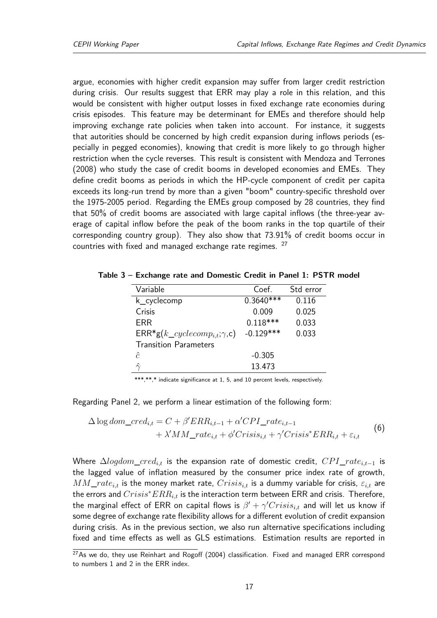argue, economies with higher credit expansion may suffer from larger credit restriction during crisis. Our results suggest that ERR may play a role in this relation, and this would be consistent with higher output losses in fixed exchange rate economies during crisis episodes. This feature may be determinant for EMEs and therefore should help improving exchange rate policies when taken into account. For instance, it suggests that autorities should be concerned by high credit expansion during inflows periods (especially in pegged economies), knowing that credit is more likely to go through higher restriction when the cycle reverses. This result is consistent with Mendoza and Terrones (2008) who study the case of credit booms in developed economies and EMEs. They define credit booms as periods in which the HP-cycle component of credit per capita exceeds its long-run trend by more than a given "boom" country-specific threshold over the 1975-2005 period. Regarding the EMEs group composed by 28 countries, they find that 50% of credit booms are associated with large capital inflows (the three-year average of capital inflow before the peak of the boom ranks in the top quartile of their corresponding country group). They also show that 73.91% of credit booms occur in countries with fixed and managed exchange rate regimes. <sup>[27](#page-16-1)</sup>

| Variable                               | Coef.       | Std error |
|----------------------------------------|-------------|-----------|
| k_cyclecomp                            | $0.3640***$ | 0.116     |
| Crisis                                 | 0.009       | 0.025     |
| <b>ERR</b>                             | $0.118***$  | 0.033     |
| $ERR*g(k\_cyclecomp_{i,t}; \gamma, c)$ | $-0.129***$ | 0.033     |
| <b>Transition Parameters</b>           |             |           |
| ĉ                                      | $-0.305$    |           |
| $\hat{\gamma}$                         | 13.473      |           |

<span id="page-16-0"></span>**Table 3 – Exchange rate and Domestic Credit in Panel 1: PSTR model**

\*\*\*,\*\*,\* indicate significance at 1, 5, and 10 percent levels, respectively.

Regarding Panel 2, we perform a linear estimation of the following form:

$$
\Delta \log dom\_cred_{i,t} = C + \beta'ERR_{i,t-1} + \alpha' CPL\_rate_{i,t-1} + \lambda' MM\_rate_{i,t} + \phi' Crisis_{i,t} + \gamma' Crisis^*ERR_{i,t} + \varepsilon_{i,t}
$$
(6)

Where ∆*logdom*\_*credi,t* is the expansion rate of domestic credit, *CP I*\_*ratei,t*−<sup>1</sup> is the lagged value of inflation measured by the consumer price index rate of growth,  $MM\_rate_{i,t}$  is the money market rate,  $Crisis_{i,t}$  is a dummy variable for crisis,  $\varepsilon_{i,t}$  are the errors and *Crisis*<sup>∗</sup>*ERRi,t* is the interaction term between ERR and crisis. Therefore, the marginal effect of ERR on capital flows is  $\beta' + \gamma' Crisis_{i,t}$  and will let us know if some degree of exchange rate flexibility allows for a different evolution of credit expansion during crisis. As in the previous section, we also run alternative specifications including fixed and time effects as well as GLS estimations. Estimation results are reported in

<span id="page-16-1"></span> $27$ As we do, they use Reinhart and Rogoff (2004) classification. Fixed and managed ERR correspond to numbers 1 and 2 in the ERR index.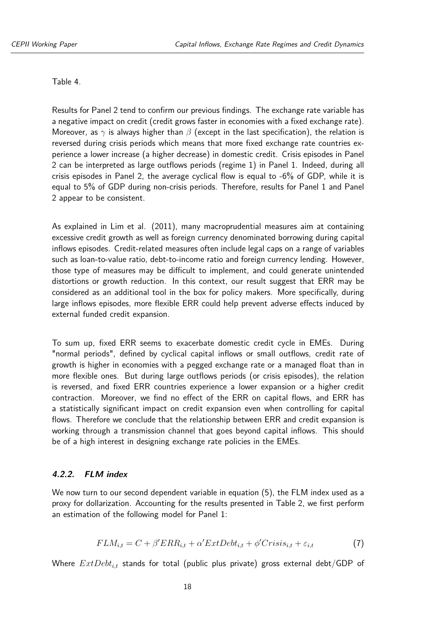#### Table [4.](#page-18-0)

Results for Panel 2 tend to confirm our previous findings. The exchange rate variable has a negative impact on credit (credit grows faster in economies with a fixed exchange rate). Moreover, as *γ* is always higher than *β* (except in the last specification), the relation is reversed during crisis periods which means that more fixed exchange rate countries experience a lower increase (a higher decrease) in domestic credit. Crisis episodes in Panel 2 can be interpreted as large outflows periods (regime 1) in Panel 1. Indeed, during all crisis episodes in Panel 2, the average cyclical flow is equal to -6% of GDP, while it is equal to 5% of GDP during non-crisis periods. Therefore, results for Panel 1 and Panel 2 appear to be consistent.

As explained in Lim et al. (2011), many macroprudential measures aim at containing excessive credit growth as well as foreign currency denominated borrowing during capital inflows episodes. Credit-related measures often include legal caps on a range of variables such as loan-to-value ratio, debt-to-income ratio and foreign currency lending. However, those type of measures may be difficult to implement, and could generate unintended distortions or growth reduction. In this context, our result suggest that ERR may be considered as an additional tool in the box for policy makers. More specifically, during large inflows episodes, more flexible ERR could help prevent adverse effects induced by external funded credit expansion.

To sum up, fixed ERR seems to exacerbate domestic credit cycle in EMEs. During "normal periods", defined by cyclical capital inflows or small outflows, credit rate of growth is higher in economies with a pegged exchange rate or a managed float than in more flexible ones. But during large outflows periods (or crisis episodes), the relation is reversed, and fixed ERR countries experience a lower expansion or a higher credit contraction. Moreover, we find no effect of the ERR on capital flows, and ERR has a statistically significant impact on credit expansion even when controlling for capital flows. Therefore we conclude that the relationship between ERR and credit expansion is working through a transmission channel that goes beyond capital inflows. This should be of a high interest in designing exchange rate policies in the EMEs.

# **4.2.2. FLM index**

We now turn to our second dependent variable in equation (5), the FLM index used as a proxy for dollarization. Accounting for the results presented in Table [2,](#page-14-2) we first perform an estimation of the following model for Panel 1:

$$
FLM_{i,t} = C + \beta' ERR_{i,t} + \alpha' ExtDebt_{i,t} + \phi'Crisis_{i,t} + \varepsilon_{i,t}
$$
\n<sup>(7)</sup>

Where  $ExtDebt_{i,t}$  stands for total (public plus private) gross external debt/GDP of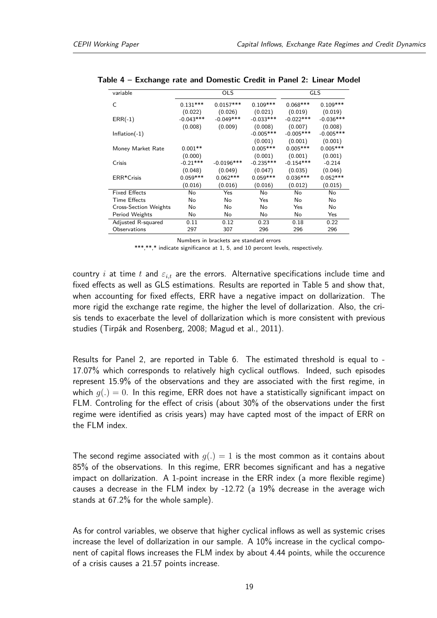| variable                     |             | <b>OLS</b>   |             |             | <b>GLS</b>  |
|------------------------------|-------------|--------------|-------------|-------------|-------------|
| C                            | $0.131***$  | $0.0157***$  | $0.109***$  | $0.068***$  | $0.109***$  |
|                              | (0.022)     | (0.026)      | (0.021)     | (0.019)     | (0.019)     |
| $ERR(-1)$                    | $-0.043***$ | $-0.049***$  | $-0.033***$ | $-0.022***$ | $-0.036***$ |
|                              | (0.008)     | (0.009)      | (0.008)     | (0.007)     | (0.008)     |
| $Inflation(-1)$              |             |              | $-0.005***$ | $-0.005***$ | $-0.005***$ |
|                              |             |              | (0.001)     | (0.001)     | (0.001)     |
| Money Market Rate            | $0.001**$   |              | $0.005***$  | $0.005***$  | $0.005***$  |
|                              | (0.000)     |              | (0.001)     | (0.001)     | (0.001)     |
| Crisis                       | $-0.21***$  | $-0.0196***$ | $-0.235***$ | $-0.154***$ | $-0.214$    |
|                              | (0.048)     | (0.049)      | (0.047)     | (0.035)     | (0.046)     |
| ERR*Crisis                   | $0.059***$  | $0.062***$   | $0.059***$  | $0.036***$  | $0.052***$  |
|                              | (0.016)     | (0.016)      | (0.016)     | (0.012)     | (0.015)     |
| <b>Fixed Effects</b>         | No          | Yes          | No          | No          | No          |
| <b>Time Effects</b>          | No          | No           | Yes         | No          | No          |
| <b>Cross-Section Weights</b> | No          | No           | No          | Yes         | No          |
| Period Weights               | No          | No           | No          | No          | Yes         |
| Adjusted R-squared           | 0.11        | 0.12         | 0.23        | 0.18        | 0.22        |
| Observations                 | 297         | 307          | 296         | 296         | 296         |

<span id="page-18-0"></span>**Table 4 – Exchange rate and Domestic Credit in Panel 2: Linear Model**

Numbers in brackets are standard errors

\*\*\*,\*\*,\* indicate significance at 1, 5, and 10 percent levels, respectively.

country *i* at time *t* and *εi,t* are the errors. Alternative specifications include time and fixed effects as well as GLS estimations. Results are reported in Table [5](#page-19-0) and show that, when accounting for fixed effects, ERR have a negative impact on dollarization. The more rigid the exchange rate regime, the higher the level of dollarization. Also, the crisis tends to exacerbate the level of dollarization which is more consistent with previous studies (Tirpák and Rosenberg, 2008; Magud et al., 2011).

Results for Panel 2, are reported in Table [6.](#page-19-1) The estimated threshold is equal to - 17.07% which corresponds to relatively high cyclical outflows. Indeed, such episodes represent 15.9% of the observations and they are associated with the first regime, in which  $g(.) = 0$ . In this regime, ERR does not have a statistically significant impact on FLM. Controling for the effect of crisis (about 30% of the observations under the first regime were identified as crisis years) may have capted most of the impact of ERR on the FLM index.

The second regime associated with  $g(.) = 1$  is the most common as it contains about 85% of the observations. In this regime, ERR becomes significant and has a negative impact on dollarization. A 1-point increase in the ERR index (a more flexible regime) causes a decrease in the FLM index by -12.72 (a 19% decrease in the average wich stands at 67.2% for the whole sample).

As for control variables, we observe that higher cyclical inflows as well as systemic crises increase the level of dollarization in our sample. A 10% increase in the cyclical component of capital flows increases the FLM index by about 4.44 points, while the occurence of a crisis causes a 21.57 points increase.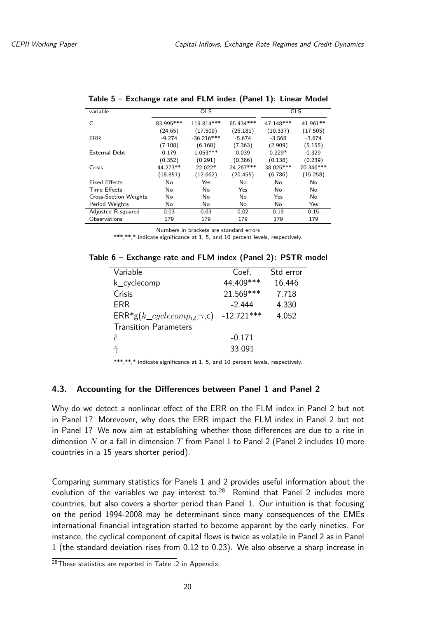| variable                     |           | <b>OLS</b>   |           |           | <b>GLS</b> |
|------------------------------|-----------|--------------|-----------|-----------|------------|
|                              | 83.995*** | 119.814***   | 85.434*** | 47.148*** | 41.961**   |
|                              | (24.65)   | (17.509)     | (26.181)  | (10.337)  | (17.505)   |
| <b>ERR</b>                   | $-9.274$  | $-36.216***$ | $-5.674$  | $-3.568$  | $-3.674$   |
|                              | (7.108)   | (6.168)      | (7.363)   | (2.909)   | (5.155)    |
| External Debt                | 0.179     | $1.053***$   | 0.039     | $0.229*$  | 0.329      |
|                              | (0.352)   | (0.291)      | (0.386)   | (0.138)   | (0.239)    |
| Crisis                       | 44.273**  | 22.022*      | 24.267*** | 38.025*** | 70.346***  |
|                              | (18.851)  | (12.662)     | (20.455)  | (6.786)   | (15.258)   |
| <b>Fixed Effects</b>         | No        | Yes          | No        | No        | No         |
| <b>Time Effects</b>          | No        | No           | Yes       | No        | No         |
| <b>Cross-Section Weights</b> | No        | No           | No        | Yes       | No         |
| Period Weights               | No        | No           | No        | No        | Yes        |
| Adjusted R-squared           | 0.03      | 0.63         | 0.02      | 0.19      | 0.15       |
| Observations                 | 179       | 179          | 179       | 179       | 179        |

<span id="page-19-0"></span>**Table 5 – Exchange rate and FLM index (Panel 1): Linear Model**

Numbers in brackets are standard errors

\*\*\*,\*\*,\* indicate significance at 1, 5, and 10 percent levels, respectively.

| Variable                               | Coef.        | Std error |
|----------------------------------------|--------------|-----------|
| k_cyclecomp                            | 44.409***    | 16.446    |
| Crisis                                 | 21.569***    | 7.718     |
| <b>ERR</b>                             | $-2.444$     | 4.330     |
| $ERR*g(k\_cyclecomp_{i,t}; \gamma, c)$ | $-12.721***$ | 4.052     |
| <b>Transition Parameters</b>           |              |           |
| $\hat{c}$                              | $-0.171$     |           |
| $\hat{\sim}$                           | 33.091       |           |

<span id="page-19-1"></span>**Table 6 – Exchange rate and FLM index (Panel 2): PSTR model**

\*\*\*,\*\*,\* indicate significance at 1, 5, and 10 percent levels, respectively.

#### **4.3. Accounting for the Differences between Panel 1 and Panel 2**

Why do we detect a nonlinear effect of the ERR on the FLM index in Panel 2 but not in Panel 1? Morevover, why does the ERR impact the FLM index in Panel 2 but not in Panel 1? We now aim at establishing whether those differences are due to a rise in dimension *N* or a fall in dimension *T* from Panel 1 to Panel 2 (Panel 2 includes 10 more countries in a 15 years shorter period).

Comparing summary statistics for Panels 1 and 2 provides useful information about the evolution of the variables we pay interest to. $^{28}$  $^{28}$  $^{28}$  Remind that Panel 2 includes more countries, but also covers a shorter period than Panel 1. Our intuition is that focusing on the period 1994-2008 may be determinant since many consequences of the EMEs international financial integration started to become apparent by the early nineties. For instance, the cyclical component of capital flows is twice as volatile in Panel 2 as in Panel 1 (the standard deviation rises from 0.12 to 0.23). We also observe a sharp increase in

<span id="page-19-2"></span> $28$ These statistics are reported in Table [.2](#page-25-0) in Appendix.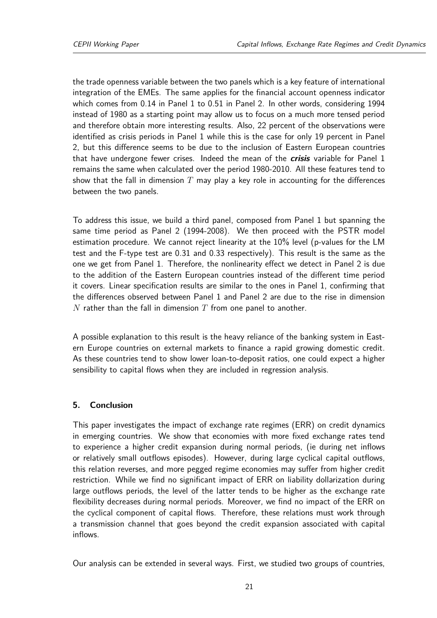the trade openness variable between the two panels which is a key feature of international integration of the EMEs. The same applies for the financial account openness indicator which comes from 0.14 in Panel 1 to 0.51 in Panel 2. In other words, considering 1994 instead of 1980 as a starting point may allow us to focus on a much more tensed period and therefore obtain more interesting results. Also, 22 percent of the observations were identified as crisis periods in Panel 1 while this is the case for only 19 percent in Panel 2, but this difference seems to be due to the inclusion of Eastern European countries that have undergone fewer crises. Indeed the mean of the **crisis** variable for Panel 1 remains the same when calculated over the period 1980-2010. All these features tend to show that the fall in dimension *T* may play a key role in accounting for the differences between the two panels.

To address this issue, we build a third panel, composed from Panel 1 but spanning the same time period as Panel 2 (1994-2008). We then proceed with the PSTR model estimation procedure. We cannot reject linearity at the 10% level (p-values for the LM test and the F-type test are 0.31 and 0.33 respectively). This result is the same as the one we get from Panel 1. Therefore, the nonlinearity effect we detect in Panel 2 is due to the addition of the Eastern European countries instead of the different time period it covers. Linear specification results are similar to the ones in Panel 1, confirming that the differences observed between Panel 1 and Panel 2 are due to the rise in dimension *N* rather than the fall in dimension *T* from one panel to another.

A possible explanation to this result is the heavy reliance of the banking system in Eastern Europe countries on external markets to finance a rapid growing domestic credit. As these countries tend to show lower loan-to-deposit ratios, one could expect a higher sensibility to capital flows when they are included in regression analysis.

# **5. Conclusion**

This paper investigates the impact of exchange rate regimes (ERR) on credit dynamics in emerging countries. We show that economies with more fixed exchange rates tend to experience a higher credit expansion during normal periods, (ie during net inflows or relatively small outflows episodes). However, during large cyclical capital outflows, this relation reverses, and more pegged regime economies may suffer from higher credit restriction. While we find no significant impact of ERR on liability dollarization during large outflows periods, the level of the latter tends to be higher as the exchange rate flexibility decreases during normal periods. Moreover, we find no impact of the ERR on the cyclical component of capital flows. Therefore, these relations must work through a transmission channel that goes beyond the credit expansion associated with capital inflows.

Our analysis can be extended in several ways. First, we studied two groups of countries,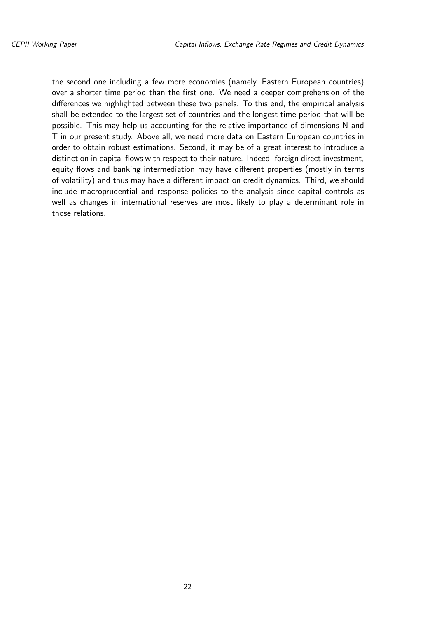the second one including a few more economies (namely, Eastern European countries) over a shorter time period than the first one. We need a deeper comprehension of the differences we highlighted between these two panels. To this end, the empirical analysis shall be extended to the largest set of countries and the longest time period that will be possible. This may help us accounting for the relative importance of dimensions N and T in our present study. Above all, we need more data on Eastern European countries in order to obtain robust estimations. Second, it may be of a great interest to introduce a distinction in capital flows with respect to their nature. Indeed, foreign direct investment, equity flows and banking intermediation may have different properties (mostly in terms of volatility) and thus may have a different impact on credit dynamics. Third, we should include macroprudential and response policies to the analysis since capital controls as well as changes in international reserves are most likely to play a determinant role in those relations.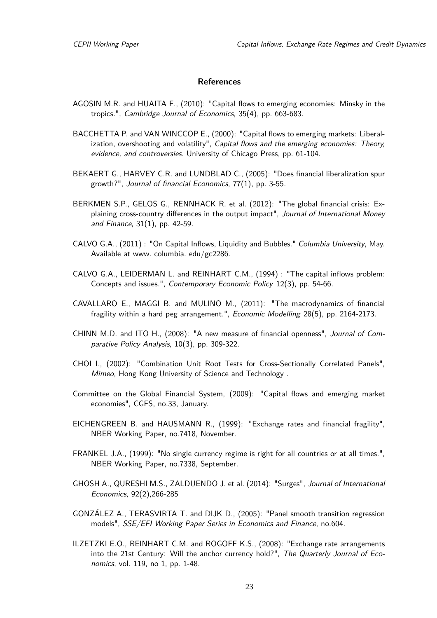#### **References**

- AGOSIN M.R. and HUAITA F., (2010): "Capital flows to emerging economies: Minsky in the tropics.", Cambridge Journal of Economics, 35(4), pp. 663-683.
- BACCHETTA P. and VAN WINCCOP E., (2000): "Capital flows to emerging markets: Liberalization, overshooting and volatility", Capital flows and the emerging economies: Theory, evidence, and controversies. University of Chicago Press, pp. 61-104.
- BEKAERT G., HARVEY C.R. and LUNDBLAD C., (2005): "Does financial liberalization spur growth?", Journal of financial Economics, 77(1), pp. 3-55.
- BERKMEN S.P., GELOS G., RENNHACK R. et al. (2012): "The global financial crisis: Explaining cross-country differences in the output impact", Journal of International Money and Finance, 31(1), pp. 42-59.
- CALVO G.A., (2011) : "On Capital Inflows, Liquidity and Bubbles." Columbia University, May. Available at www. columbia. edu/gc2286.
- CALVO G.A., LEIDERMAN L. and REINHART C.M., (1994) : "The capital inflows problem: Concepts and issues.", Contemporary Economic Policy 12(3), pp. 54-66.
- CAVALLARO E., MAGGI B. and MULINO M., (2011): "The macrodynamics of financial fragility within a hard peg arrangement.", Economic Modelling 28(5), pp. 2164-2173.
- CHINN M.D. and ITO H., (2008): "A new measure of financial openness", Journal of Comparative Policy Analysis, 10(3), pp. 309-322.
- CHOI I., (2002): "Combination Unit Root Tests for Cross-Sectionally Correlated Panels", Mimeo, Hong Kong University of Science and Technology .
- Committee on the Global Financial System, (2009): "Capital flows and emerging market economies", CGFS, no.33, January.
- EICHENGREEN B. and HAUSMANN R., (1999): "Exchange rates and financial fragility", NBER Working Paper, no.7418, November.
- FRANKEL J.A., (1999): "No single currency regime is right for all countries or at all times.", NBER Working Paper, no.7338, September.
- GHOSH A., QURESHI M.S., ZALDUENDO J. et al. (2014): "Surges", Journal of International Economics, 92(2),266-285
- GONZÁLEZ A., TERASVIRTA T. and DIJK D., (2005): "Panel smooth transition regression models", SSE/EFI Working Paper Series in Economics and Finance, no.604.
- ILZETZKI E.O., REINHART C.M. and ROGOFF K.S., (2008): "Exchange rate arrangements into the 21st Century: Will the anchor currency hold?", The Quarterly Journal of Economics, vol. 119, no 1, pp. 1-48.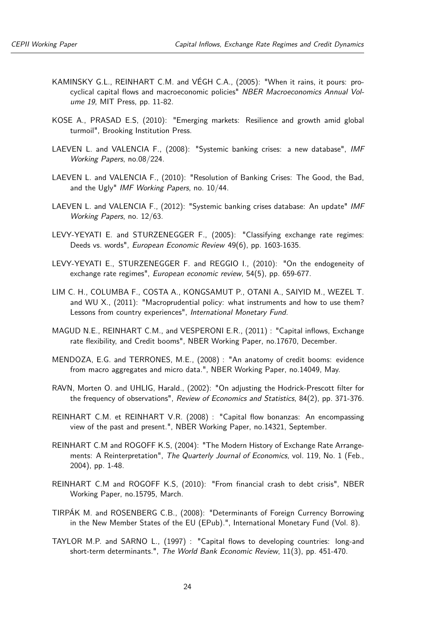- KAMINSKY G.L., REINHART C.M. and VÉGH C.A., (2005): "When it rains, it pours: procyclical capital flows and macroeconomic policies" NBER Macroeconomics Annual Volume 19, MIT Press, pp. 11-82.
- KOSE A., PRASAD E.S, (2010): "Emerging markets: Resilience and growth amid global turmoil", Brooking Institution Press.
- LAEVEN L. and VALENCIA F., (2008): "Systemic banking crises: a new database", IMF Working Papers, no.08/224.
- LAEVEN L. and VALENCIA F., (2010): "Resolution of Banking Crises: The Good, the Bad, and the Ugly" IMF Working Papers, no. 10/44.
- LAEVEN L. and VALENCIA F., (2012): "Systemic banking crises database: An update" IMF Working Papers, no. 12/63.
- LEVY-YEYATI E. and STURZENEGGER F., (2005): "Classifying exchange rate regimes: Deeds vs. words", European Economic Review 49(6), pp. 1603-1635.
- LEVY-YEYATI E., STURZENEGGER F. and REGGIO I., (2010): "On the endogeneity of exchange rate regimes", European economic review, 54(5), pp. 659-677.
- LIM C. H., COLUMBA F., COSTA A., KONGSAMUT P., OTANI A., SAIYID M., WEZEL T. and WU X., (2011): "Macroprudential policy: what instruments and how to use them? Lessons from country experiences", International Monetary Fund.
- MAGUD N.E., REINHART C.M., and VESPERONI E.R., (2011) : "Capital inflows, Exchange rate flexibility, and Credit booms", NBER Working Paper, no.17670, December.
- MENDOZA, E.G. and TERRONES, M.E., (2008) : "An anatomy of credit booms: evidence from macro aggregates and micro data.", NBER Working Paper, no.14049, May.
- RAVN, Morten O. and UHLIG, Harald., (2002): "On adjusting the Hodrick-Prescott filter for the frequency of observations", Review of Economics and Statistics, 84(2), pp. 371-376.
- REINHART C.M. et REINHART V.R. (2008) : "Capital flow bonanzas: An encompassing view of the past and present.", NBER Working Paper, no.14321, September.
- REINHART C.M and ROGOFF K.S, (2004): "The Modern History of Exchange Rate Arrangements: A Reinterpretation", The Quarterly Journal of Economics, vol. 119, No. 1 (Feb., 2004), pp. 1-48.
- REINHART C.M and ROGOFF K.S, (2010): "From financial crash to debt crisis", NBER Working Paper, no.15795, March.
- TIRPÁK M. and ROSENBERG C.B., (2008): "Determinants of Foreign Currency Borrowing in the New Member States of the EU (EPub).", International Monetary Fund (Vol. 8).
- TAYLOR M.P. and SARNO L., (1997) : "Capital flows to developing countries: long-and short-term determinants.", The World Bank Economic Review, 11(3), pp. 451-470.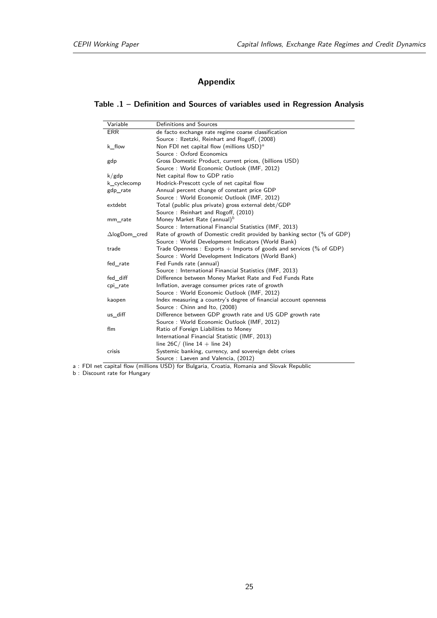# **Appendix**

# <span id="page-24-0"></span>**Table .1 – Definition and Sources of variables used in Regression Analysis**

| Variable             | Definitions and Sources                                                 |
|----------------------|-------------------------------------------------------------------------|
| ERR                  | de facto exchange rate regime coarse classification                     |
|                      | Source: Ilzetzki, Reinhart and Rogoff, (2008)                           |
| k_flow               | Non FDI net capital flow (millions $\text{USD}^a$                       |
|                      | Source: Oxford Economics                                                |
| gdp                  | Gross Domestic Product, current prices, (billions USD)                  |
|                      | Source: World Economic Outlook (IMF, 2012)                              |
| k/gdp                | Net capital flow to GDP ratio                                           |
| k_cyclecomp          | Hodrick-Prescott cycle of net capital flow                              |
| gdp_rate             | Annual percent change of constant price GDP                             |
|                      | Source: World Economic Outlook (IMF, 2012)                              |
| extdebt              | Total (public plus private) gross external debt/GDP                     |
|                      | Source: Reinhart and Rogoff, (2010)                                     |
| mm_rate              | Money Market Rate (annual) <sup>b</sup>                                 |
|                      | Source: International Financial Statistics (IMF, 2013)                  |
| $\Delta$ logDom_cred | Rate of growth of Domestic credit provided by banking sector (% of GDP) |
|                      | Source: World Development Indicators (World Bank)                       |
| trade                | Trade Openness : Exports $+$ Imports of goods and services (% of GDP)   |
|                      | Source : World Development Indicators (World Bank)                      |
| fed_rate             | Fed Funds rate (annual)                                                 |
|                      | Source : International Financial Statistics (IMF, 2013)                 |
| fed_diff             | Difference between Money Market Rate and Fed Funds Rate                 |
| cpi_rate             | Inflation, average consumer prices rate of growth                       |
|                      | Source: World Economic Outlook (IMF, 2012)                              |
| kaopen               | Index measuring a country's degree of financial account openness        |
|                      | Source: Chinn and Ito, (2008)                                           |
| us_diff              | Difference between GDP growth rate and US GDP growth rate               |
|                      | Source: World Economic Outlook (IMF, 2012)                              |
| flm                  | Ratio of Foreign Liabilities to Money                                   |
|                      | International Financial Statistic (IMF, 2013)                           |
|                      | line $26C/$ (line $14 +$ line 24)                                       |
| crisis               | Systemic banking, currency, and sovereign debt crises                   |
|                      | Source: Laeven and Valencia, (2012)                                     |

a : FDI net capital flow (millions USD) for Bulgaria, Croatia, Romania and Slovak Republic

b : Discount rate for Hungary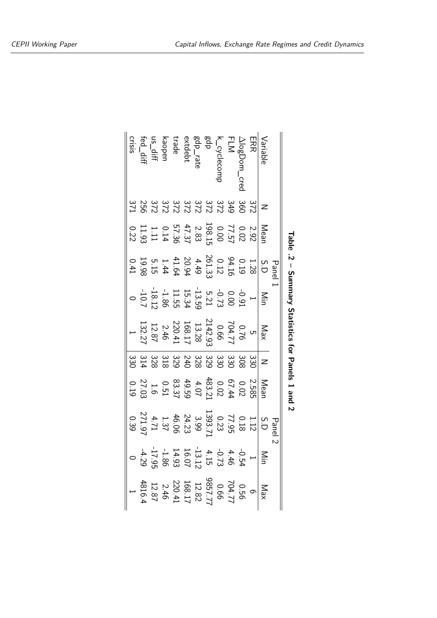<span id="page-25-0"></span>

|                                                       |                |                                                                                                                                                                                                                                                                                                          |                                                                                                                                                                                                                                                                                                                                               |                                                                                                                                                                                                                                                                                                                                  | $I$ and $I$ and $I$ and $I$ and $I$ and $I$ and $I$ and $I$                   |                                                                                                                                                                                                                          |                                                                                                                                                                                                                                                                                                          |                                                                                                                                                                                                                                                                                                                                                               |                 |
|-------------------------------------------------------|----------------|----------------------------------------------------------------------------------------------------------------------------------------------------------------------------------------------------------------------------------------------------------------------------------------------------------|-----------------------------------------------------------------------------------------------------------------------------------------------------------------------------------------------------------------------------------------------------------------------------------------------------------------------------------------------|----------------------------------------------------------------------------------------------------------------------------------------------------------------------------------------------------------------------------------------------------------------------------------------------------------------------------------|-------------------------------------------------------------------------------|--------------------------------------------------------------------------------------------------------------------------------------------------------------------------------------------------------------------------|----------------------------------------------------------------------------------------------------------------------------------------------------------------------------------------------------------------------------------------------------------------------------------------------------------|---------------------------------------------------------------------------------------------------------------------------------------------------------------------------------------------------------------------------------------------------------------------------------------------------------------------------------------------------------------|-----------------|
|                                                       |                |                                                                                                                                                                                                                                                                                                          | Panel                                                                                                                                                                                                                                                                                                                                         |                                                                                                                                                                                                                                                                                                                                  |                                                                               |                                                                                                                                                                                                                          | Panel 2                                                                                                                                                                                                                                                                                                  |                                                                                                                                                                                                                                                                                                                                                               |                 |
| Variable                                              |                |                                                                                                                                                                                                                                                                                                          |                                                                                                                                                                                                                                                                                                                                               |                                                                                                                                                                                                                                                                                                                                  |                                                                               | Mean                                                                                                                                                                                                                     |                                                                                                                                                                                                                                                                                                          |                                                                                                                                                                                                                                                                                                                                                               | xe <sub>M</sub> |
| ERR                                                   | $\frac{8}{32}$ |                                                                                                                                                                                                                                                                                                          |                                                                                                                                                                                                                                                                                                                                               |                                                                                                                                                                                                                                                                                                                                  |                                                                               |                                                                                                                                                                                                                          |                                                                                                                                                                                                                                                                                                          |                                                                                                                                                                                                                                                                                                                                                               |                 |
|                                                       |                | Mean<br>2.02<br>2.02<br>2.03<br>2.02<br>2.02<br>0.22<br>0.22<br>0.02<br>0.02<br>0.02<br>0.02<br>2.02<br>2.02<br>2.02<br>2.02<br>2.02<br>3.02<br>3.02<br>3.02<br>3.02<br>3.02<br>3.02<br>3.02<br>3.02<br>3.02<br>3.02<br>3.02<br>3.02<br>3.02<br>3.02<br>3.02<br>3.02<br>3.02<br>3.02<br>3.02<br>3.02<br> | $\frac{8}{11}$<br>$\frac{1}{28}$<br>$\frac{3}{26}$<br>$\frac{3}{26}$<br>$\frac{3}{26}$<br>$\frac{4}{26}$<br>$\frac{3}{26}$<br>$\frac{4}{26}$<br>$\frac{3}{26}$<br>$\frac{4}{26}$<br>$\frac{1}{26}$<br>$\frac{1}{26}$<br>$\frac{1}{26}$<br>$\frac{1}{26}$<br>$\frac{1}{26}$<br>$\frac{1}{26}$<br>$\frac{1}{26}$<br>$\frac{1}{26}$<br>$\frac{1$ | $\frac{\Sigma}{\Sigma}$<br>$\frac{1}{2}$ $\frac{1}{3}$ $\frac{1}{3}$ $\frac{1}{3}$ $\frac{1}{3}$ $\frac{1}{3}$ $\frac{1}{3}$ $\frac{1}{3}$ $\frac{1}{3}$ $\frac{1}{3}$ $\frac{1}{3}$ $\frac{1}{3}$ $\frac{1}{3}$ $\frac{1}{3}$ $\frac{1}{3}$ $\frac{1}{3}$ $\frac{1}{3}$ $\frac{1}{3}$ $\frac{1}{3}$ $\frac{1}{3}$ $\frac{1}{3}$ | Max<br>0.76<br>13.28<br>13.28<br>2142.9<br>13.27<br>13.27<br>1<br>1<br>1<br>1 | $\begin{array}{cccc}\n 2.585 \\  0.028 \\  0.483 \\  0.55\n \end{array}$ $\begin{array}{cccc}\n 4.485 \\  4.495 \\  0.51 \\  0.53\n \end{array}$ $\begin{array}{cccc}\n 4.495 \\  4.495 \\  0.51 \\  0.53\n \end{array}$ | $\begin{array}{r rrrr} 5D & 112 & 293 \\ 111 & 213 & 333 \\ 1393 & 33 & 34 \\ 146 & 13 & 14 \\ 1393 & 14 & 14 \\ 139 & 14 & 14 \\ 139 & 14 & 14 \\ 139 & 14 & 14 \\ 139 & 14 & 14 \\ 139 & 14 & 14 \\ 139 & 14 & 14 \\ 139 & 15 & 14 \\ 139 & 15 & 15 \\ 16 & 16 & 15 \\ 17 & 17 & 16 & 14 \\ 18 & 18 &$ | $\frac{\text{N}}{\text{1}}$<br>$\frac{1}{3}$<br>$\frac{4}{3}$<br>$\frac{4}{3}$<br>$\frac{1}{3}$<br>$\frac{1}{3}$<br>$\frac{1}{3}$<br>$\frac{1}{3}$<br>$\frac{1}{3}$<br>$\frac{1}{3}$<br>$\frac{1}{3}$<br>$\frac{1}{3}$<br>$\frac{1}{3}$<br>$\frac{1}{3}$<br>$\frac{1}{3}$<br>$\frac{1}{3}$<br>$\frac{1}{3}$<br>$\frac{1}{3}$<br>$\frac{1}{3}$<br>$\frac{1}{3$ |                 |
|                                                       |                |                                                                                                                                                                                                                                                                                                          |                                                                                                                                                                                                                                                                                                                                               |                                                                                                                                                                                                                                                                                                                                  |                                                                               |                                                                                                                                                                                                                          |                                                                                                                                                                                                                                                                                                          |                                                                                                                                                                                                                                                                                                                                                               |                 |
| ΔlogDom_<br>FLM<br>k_cyclecor<br>gdp_rate<br>gdp_rate |                |                                                                                                                                                                                                                                                                                                          |                                                                                                                                                                                                                                                                                                                                               |                                                                                                                                                                                                                                                                                                                                  |                                                                               |                                                                                                                                                                                                                          |                                                                                                                                                                                                                                                                                                          |                                                                                                                                                                                                                                                                                                                                                               |                 |
|                                                       |                |                                                                                                                                                                                                                                                                                                          |                                                                                                                                                                                                                                                                                                                                               |                                                                                                                                                                                                                                                                                                                                  |                                                                               |                                                                                                                                                                                                                          |                                                                                                                                                                                                                                                                                                          |                                                                                                                                                                                                                                                                                                                                                               |                 |
|                                                       |                |                                                                                                                                                                                                                                                                                                          |                                                                                                                                                                                                                                                                                                                                               |                                                                                                                                                                                                                                                                                                                                  |                                                                               |                                                                                                                                                                                                                          |                                                                                                                                                                                                                                                                                                          |                                                                                                                                                                                                                                                                                                                                                               |                 |
| extdebt                                               |                |                                                                                                                                                                                                                                                                                                          |                                                                                                                                                                                                                                                                                                                                               |                                                                                                                                                                                                                                                                                                                                  |                                                                               |                                                                                                                                                                                                                          |                                                                                                                                                                                                                                                                                                          |                                                                                                                                                                                                                                                                                                                                                               |                 |
| trade                                                 |                |                                                                                                                                                                                                                                                                                                          |                                                                                                                                                                                                                                                                                                                                               |                                                                                                                                                                                                                                                                                                                                  |                                                                               |                                                                                                                                                                                                                          |                                                                                                                                                                                                                                                                                                          |                                                                                                                                                                                                                                                                                                                                                               |                 |
|                                                       |                |                                                                                                                                                                                                                                                                                                          |                                                                                                                                                                                                                                                                                                                                               |                                                                                                                                                                                                                                                                                                                                  |                                                                               |                                                                                                                                                                                                                          |                                                                                                                                                                                                                                                                                                          |                                                                                                                                                                                                                                                                                                                                                               |                 |
|                                                       |                |                                                                                                                                                                                                                                                                                                          |                                                                                                                                                                                                                                                                                                                                               |                                                                                                                                                                                                                                                                                                                                  |                                                                               |                                                                                                                                                                                                                          |                                                                                                                                                                                                                                                                                                          |                                                                                                                                                                                                                                                                                                                                                               |                 |
| kaopen<br>us_diff<br>fed_diff                         |                |                                                                                                                                                                                                                                                                                                          |                                                                                                                                                                                                                                                                                                                                               |                                                                                                                                                                                                                                                                                                                                  |                                                                               |                                                                                                                                                                                                                          |                                                                                                                                                                                                                                                                                                          |                                                                                                                                                                                                                                                                                                                                                               |                 |
| <b>Crisis</b>                                         |                |                                                                                                                                                                                                                                                                                                          |                                                                                                                                                                                                                                                                                                                                               |                                                                                                                                                                                                                                                                                                                                  |                                                                               |                                                                                                                                                                                                                          |                                                                                                                                                                                                                                                                                                          |                                                                                                                                                                                                                                                                                                                                                               |                 |
|                                                       |                |                                                                                                                                                                                                                                                                                                          |                                                                                                                                                                                                                                                                                                                                               |                                                                                                                                                                                                                                                                                                                                  |                                                                               |                                                                                                                                                                                                                          |                                                                                                                                                                                                                                                                                                          |                                                                                                                                                                                                                                                                                                                                                               |                 |

| ۱<br>ann<br>;<br>i |
|--------------------|
|                    |
| ı                  |
| J<br>:             |
| ומו כמוזכוחים      |
|                    |
| י מווכוס           |
|                    |
| ،<br>;             |
| ı                  |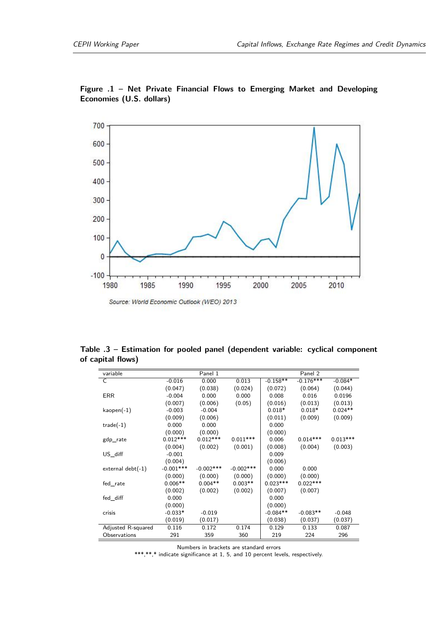

<span id="page-26-0"></span>

<span id="page-26-1"></span>

| Table .3 - Estimation for pooled panel (dependent variable: cyclical component |  |  |  |  |
|--------------------------------------------------------------------------------|--|--|--|--|
| of capital flows)                                                              |  |  |  |  |

| variable            |             | Panel 1     |              |            | Panel 2     |            |
|---------------------|-------------|-------------|--------------|------------|-------------|------------|
| $\mathsf{C}$        | $-0.016$    | 0.000       | 0.013        | $-0.158**$ | $-0.176***$ | $-0.084*$  |
|                     | (0.047)     | (0.038)     | (0.024)      | (0.072)    | (0.064)     | (0.044)    |
| <b>ERR</b>          | $-0.004$    | 0.000       | 0.000        | 0.008      | 0.016       | 0.0196     |
|                     | (0.007)     | (0.006)     | (0.05)       | (0.016)    | (0.013)     | (0.013)    |
| $kaopen(-1)$        | $-0.003$    | $-0.004$    |              | $0.018*$   | $0.018*$    | $0.024**$  |
|                     | (0.009)     | (0.006)     |              | (0.011)    | (0.009)     | (0.009)    |
| $trade(-1)$         | 0.000       | 0.000       |              | 0.000      |             |            |
|                     | (0.000)     | (0.000)     |              | (0.000)    |             |            |
| gdp_rate            | $0.012***$  | $0.012***$  | $0.011***$   | 0.006      | $0.014***$  | $0.013***$ |
|                     | (0.004)     | (0.002)     | (0.001)      | (0.008)    | (0.004)     | (0.003)    |
| US_diff             | $-0.001$    |             |              | 0.009      |             |            |
|                     | (0.004)     |             |              | (0.006)    |             |            |
| $external debt(-1)$ | $-0.001***$ | $-0.002***$ | $-0.002$ *** | 0.000      | 0.000       |            |
|                     | (0.000)     | (0.000)     | (0.000)      | (0.000)    | (0.000)     |            |
| fed_rate            | $0.006**$   | $0.004**$   | $0.003**$    | $0.023***$ | $0.022***$  |            |
|                     | (0.002)     | (0.002)     | (0.002)      | (0.007)    | (0.007)     |            |
| fed_diff            | 0.000       |             |              | 0.000      |             |            |
|                     | (0.000)     |             |              | (0.000)    |             |            |
| crisis              | $-0.033*$   | $-0.019$    |              | $-0.084**$ | $-0.083**$  | $-0.048$   |
|                     | (0.019)     | (0.017)     |              | (0.038)    | (0.037)     | (0.037)    |
| Adjusted R-squared  | 0.116       | 0.172       | 0.174        | 0.129      | 0.133       | 0.087      |
| Observations        | 291         | 359         | 360          | 219        | 224         | 296        |

Numbers in brackets are standard errors

\*\*\*,\*\*,\* indicate significance at 1, 5, and 10 percent levels, respectively.